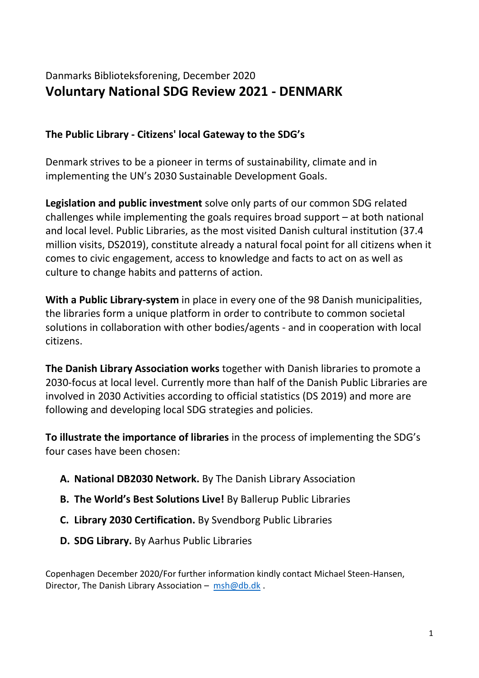## Danmarks Biblioteksforening, December 2020 **Voluntary National SDG Review 2021 - DENMARK**

## **The Public Library - Citizens' local Gateway to the SDG's**

Denmark strives to be a pioneer in terms of sustainability, climate and in implementing the UN's 2030 Sustainable Development Goals.

**Legislation and public investment** solve only parts of our common SDG related challenges while implementing the goals requires broad support – at both national and local level. Public Libraries, as the most visited Danish cultural institution (37.4 million visits, DS2019), constitute already a natural focal point for all citizens when it comes to civic engagement, access to knowledge and facts to act on as well as culture to change habits and patterns of action.

**With a Public Library-system** in place in every one of the 98 Danish municipalities, the libraries form a unique platform in order to contribute to common societal solutions in collaboration with other bodies/agents - and in cooperation with local citizens.

**The Danish Library Association works** together with Danish libraries to promote a 2030-focus at local level. Currently more than half of the Danish Public Libraries are involved in 2030 Activities according to official statistics (DS 2019) and more are following and developing local SDG strategies and policies.

**To illustrate the importance of libraries** in the process of implementing the SDG's four cases have been chosen:

- **A. National DB2030 Network.** By The Danish Library Association
- **B. The World's Best Solutions Live!** By Ballerup Public Libraries
- **C. Library 2030 Certification.** By Svendborg Public Libraries
- **D. SDG Library.** By Aarhus Public Libraries

Copenhagen December 2020/For further information kindly contact Michael Steen-Hansen, Director, The Danish Library Association – [msh@db.dk](mailto:msh@db.dk).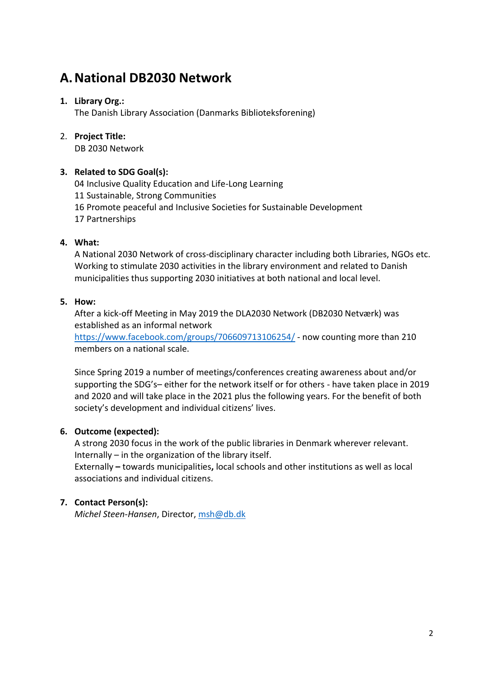# **A.National DB2030 Network**

## **1. Library Org.:**

The Danish Library Association (Danmarks Biblioteksforening)

### 2. **Project Title:**

DB 2030 Network

## **3. Related to SDG Goal(s):**

04 Inclusive Quality Education and Life-Long Learning

- 11 Sustainable, Strong Communities
- 16 Promote peaceful and Inclusive Societies for Sustainable Development
- 17 Partnerships

## **4. What:**

A National 2030 Network of cross-disciplinary character including both Libraries, NGOs etc. Working to stimulate 2030 activities in the library environment and related to Danish municipalities thus supporting 2030 initiatives at both national and local level.

### **5. How:**

After a kick-off Meeting in May 2019 the DLA2030 Network (DB2030 Netværk) was established as an informal network

<https://www.facebook.com/groups/706609713106254/> - now counting more than 210 members on a national scale.

Since Spring 2019 a number of meetings/conferences creating awareness about and/or supporting the SDG's– either for the network itself or for others - have taken place in 2019 and 2020 and will take place in the 2021 plus the following years. For the benefit of both society's development and individual citizens' lives.

## **6. Outcome (expected):**

A strong 2030 focus in the work of the public libraries in Denmark wherever relevant. Internally – in the organization of the library itself.

Externally **–** towards municipalities**,** local schools and other institutions as well as local associations and individual citizens.

## **7. Contact Person(s):**

*Michel Steen-Hansen*, Director, [msh@db.dk](mailto:msh@db.dk)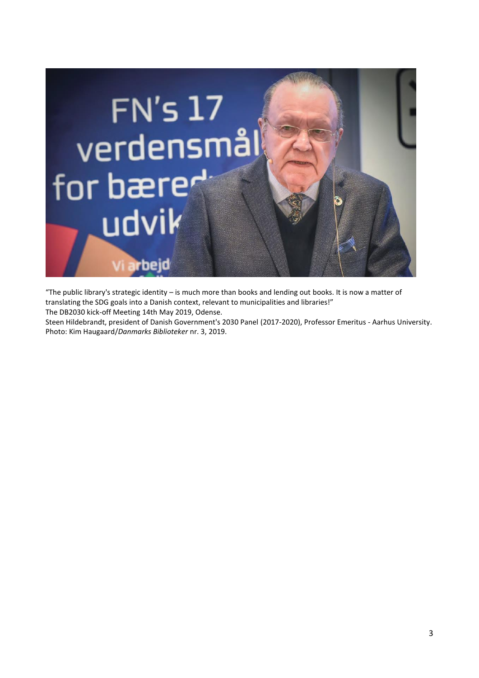

"The public library's strategic identity – is much more than books and lending out books. It is now a matter of translating the SDG goals into a Danish context, relevant to municipalities and libraries!" The DB2030 kick-off Meeting 14th May 2019, Odense.

Steen Hildebrandt, president of Danish Government's 2030 Panel (2017-2020), Professor Emeritus - Aarhus University. Photo: Kim Haugaard/*Danmarks Biblioteker* nr. 3, 2019.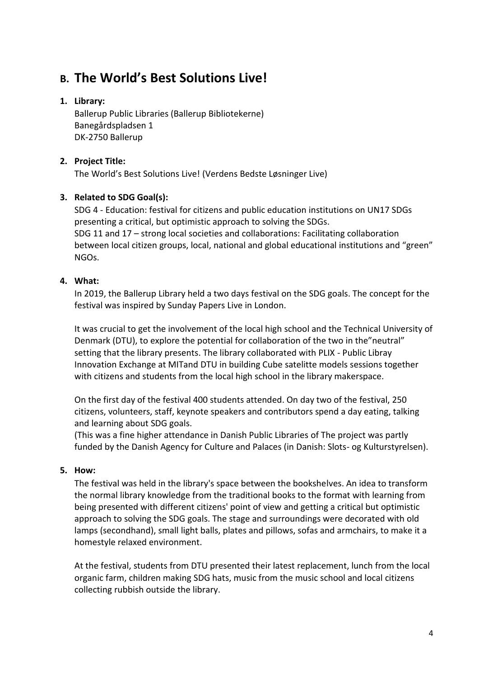# **B. The World's Best Solutions Live!**

## **1. Library:**

Ballerup Public Libraries (Ballerup Bibliotekerne) Banegårdspladsen 1 DK-2750 Ballerup

## **2. Project Title:**

The World's Best Solutions Live! (Verdens Bedste Løsninger Live)

## **3. Related to SDG Goal(s):**

SDG 4 - Education: festival for citizens and public education institutions on UN17 SDGs presenting a critical, but optimistic approach to solving the SDGs. SDG 11 and 17 – strong local societies and collaborations: Facilitating collaboration between local citizen groups, local, national and global educational institutions and "green" NGOs.

## **4. What:**

In 2019, the Ballerup Library held a two days festival on the SDG goals. The concept for the festival was inspired by Sunday Papers Live in London.

It was crucial to get the involvement of the local high school and the Technical University of Denmark (DTU), to explore the potential for collaboration of the two in the"neutral" setting that the library presents. The library collaborated with PLIX - Public Libray Innovation Exchange at MITand DTU in building Cube satelitte models sessions together with citizens and students from the local high school in the library makerspace.

On the first day of the festival 400 students attended. On day two of the festival, 250 citizens, volunteers, staff, keynote speakers and contributors spend a day eating, talking and learning about SDG goals.

(This was a fine higher attendance in Danish Public Libraries of The project was partly funded by the Danish Agency for Culture and Palaces (in Danish: Slots- og Kulturstyrelsen).

## **5. How:**

The festival was held in the library's space between the bookshelves. An idea to transform the normal library knowledge from the traditional books to the format with learning from being presented with different citizens' point of view and getting a critical but optimistic approach to solving the SDG goals. The stage and surroundings were decorated with old lamps (secondhand), small light balls, plates and pillows, sofas and armchairs, to make it a homestyle relaxed environment.

At the festival, students from DTU presented their latest replacement, lunch from the local organic farm, children making SDG hats, music from the music school and local citizens collecting rubbish outside the library.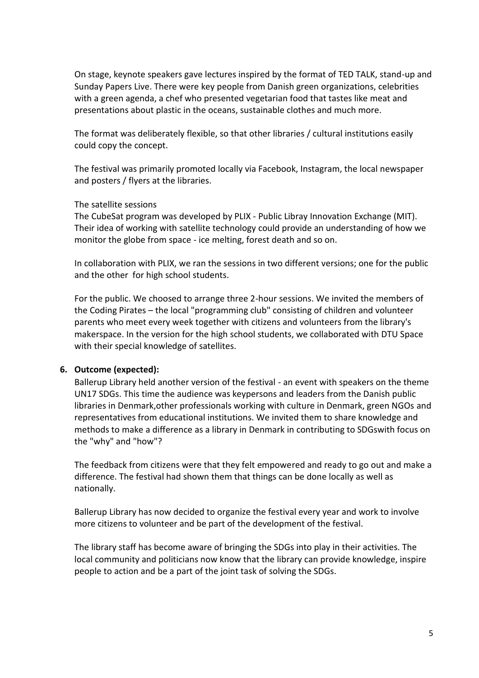On stage, keynote speakers gave lectures inspired by the format of TED TALK, stand-up and Sunday Papers Live. There were key people from Danish green organizations, celebrities with a green agenda, a chef who presented vegetarian food that tastes like meat and presentations about plastic in the oceans, sustainable clothes and much more.

The format was deliberately flexible, so that other libraries / cultural institutions easily could copy the concept.

The festival was primarily promoted locally via Facebook, Instagram, the local newspaper and posters / flyers at the libraries.

### The satellite sessions

The CubeSat program was developed by PLIX - Public Libray Innovation Exchange (MIT). Their idea of working with satellite technology could provide an understanding of how we monitor the globe from space - ice melting, forest death and so on.

In collaboration with PLIX, we ran the sessions in two different versions; one for the public and the other for high school students.

For the public. We choosed to arrange three 2-hour sessions. We invited the members of the Coding Pirates – the local "programming club" consisting of children and volunteer parents who meet every week together with citizens and volunteers from the library's makerspace. In the version for the high school students, we collaborated with DTU Space with their special knowledge of satellites.

### **6. Outcome (expected):**

Ballerup Library held another version of the festival - an event with speakers on the theme UN17 SDGs. This time the audience was keypersons and leaders from the Danish public libraries in Denmark,other professionals working with culture in Denmark, green NGOs and representatives from educational institutions. We invited them to share knowledge and methods to make a difference as a library in Denmark in contributing to SDGswith focus on the "why" and "how"?

The feedback from citizens were that they felt empowered and ready to go out and make a difference. The festival had shown them that things can be done locally as well as nationally.

Ballerup Library has now decided to organize the festival every year and work to involve more citizens to volunteer and be part of the development of the festival.

The library staff has become aware of bringing the SDGs into play in their activities. The local community and politicians now know that the library can provide knowledge, inspire people to action and be a part of the joint task of solving the SDGs.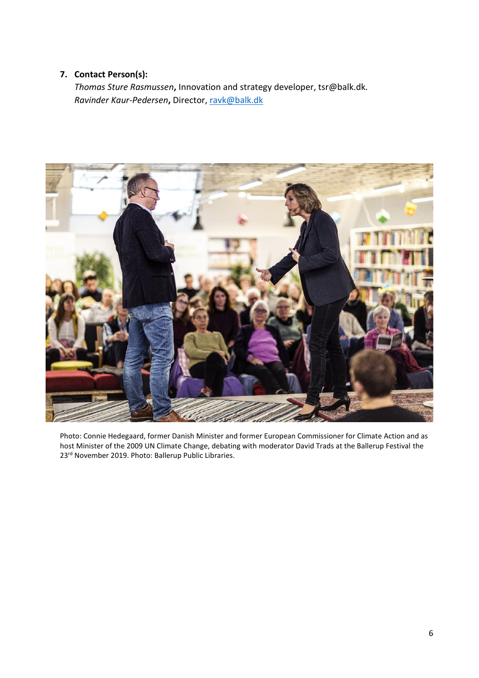## **7. Contact Person(s):**

*Thomas Sture Rasmussen***,** Innovation and strategy developer, tsr@balk.dk. *Ravinder Kaur-Pedersen***,** Director, [ravk@balk.dk](mailto:ravk@balk.dk)



Photo: Connie Hedegaard, former Danish Minister and former European Commissioner for Climate Action and as host Minister of the 2009 UN Climate Change, debating with moderator David Trads at the Ballerup Festival the 23rd November 2019. Photo: Ballerup Public Libraries.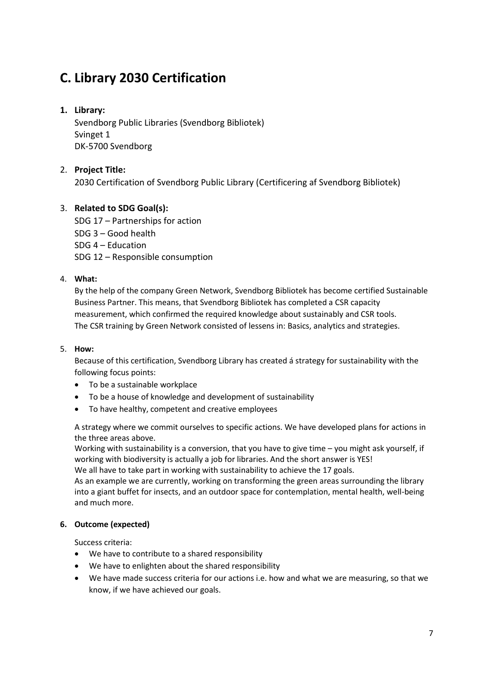# **C. Library 2030 Certification**

## **1. Library:**

Svendborg Public Libraries (Svendborg Bibliotek) Svinget 1 DK-5700 Svendborg

## 2. **Project Title:**

2030 Certification of Svendborg Public Library (Certificering af Svendborg Bibliotek)

## 3. **Related to SDG Goal(s):**

SDG 17 – Partnerships for action SDG 3 – Good health SDG 4 – Education SDG 12 – Responsible consumption

## 4. **What:**

By the help of the company Green Network, Svendborg Bibliotek has become certified Sustainable Business Partner. This means, that Svendborg Bibliotek has completed a CSR capacity measurement, which confirmed the required knowledge about sustainably and CSR tools. The CSR training by Green Network consisted of lessens in: Basics, analytics and strategies.

### 5. **How:**

Because of this certification, Svendborg Library has created á strategy for sustainability with the following focus points:

- To be a sustainable workplace
- To be a house of knowledge and development of sustainability
- To have healthy, competent and creative employees

A strategy where we commit ourselves to specific actions. We have developed plans for actions in the three areas above.

Working with sustainability is a conversion, that you have to give time – you might ask yourself, if working with biodiversity is actually a job for libraries. And the short answer is YES! We all have to take part in working with sustainability to achieve the 17 goals.

As an example we are currently, working on transforming the green areas surrounding the library into a giant buffet for insects, and an outdoor space for contemplation, mental health, well-being and much more.

### **6. Outcome (expected)**

Success criteria:

- We have to contribute to a shared responsibility
- We have to enlighten about the shared responsibility
- We have made success criteria for our actions i.e. how and what we are measuring, so that we know, if we have achieved our goals.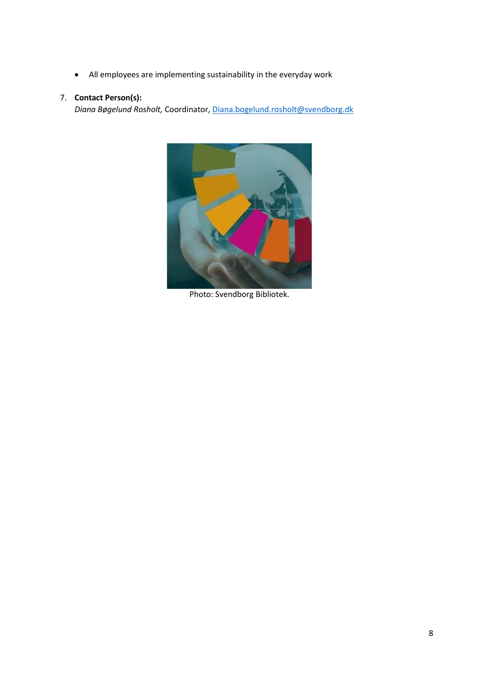• All employees are implementing sustainability in the everyday work

### 7. **Contact Person(s):**

*Diana Bøgelund Rosholt,* Coordinator, [Diana.bogelund.rosholt@svendborg.dk](mailto:Diana.bogelund.rosholt@svendborg.dk)



Photo: Svendborg Bibliotek.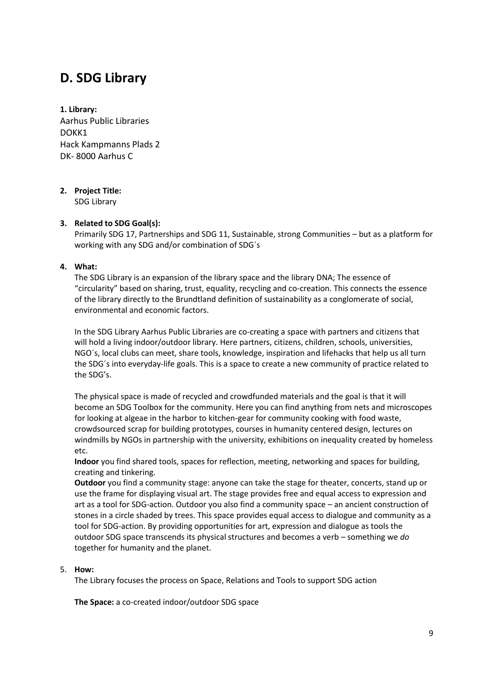## **D. SDG Library**

**1. Library:**  Aarhus Public Libraries DOKK1 Hack Kampmanns Plads 2 DK- 8000 Aarhus C

## **2. Project Title:**

SDG Library

### **3. Related to SDG Goal(s):**

Primarily SDG 17, Partnerships and SDG 11, Sustainable, strong Communities – but as a platform for working with any SDG and/or combination of SDG´s

### **4. What:**

The SDG Library is an expansion of the library space and the library DNA; The essence of "circularity" based on sharing, trust, equality, recycling and co-creation. This connects the essence of the library directly to the Brundtland definition of sustainability as a conglomerate of social, environmental and economic factors.

In the SDG Library Aarhus Public Libraries are co-creating a space with partners and citizens that will hold a living indoor/outdoor library. Here partners, citizens, children, schools, universities, NGO´s, local clubs can meet, share tools, knowledge, inspiration and lifehacks that help us all turn the SDG´s into everyday-life goals. This is a space to create a new community of practice related to the SDG's.

The physical space is made of recycled and crowdfunded materials and the goal is that it will become an SDG Toolbox for the community. Here you can find anything from nets and microscopes for looking at algeae in the harbor to kitchen-gear for community cooking with food waste, crowdsourced scrap for building prototypes, courses in humanity centered design, lectures on windmills by NGOs in partnership with the university, exhibitions on inequality created by homeless etc.

**Indoor** you find shared tools, spaces for reflection, meeting, networking and spaces for building, creating and tinkering.

**Outdoor** you find a community stage: anyone can take the stage for theater, concerts, stand up or use the frame for displaying visual art. The stage provides free and equal access to expression and art as a tool for SDG-action. Outdoor you also find a community space – an ancient construction of stones in a circle shaded by trees. This space provides equal access to dialogue and community as a tool for SDG-action. By providing opportunities for art, expression and dialogue as tools the outdoor SDG space transcends its physical structures and becomes a verb – something we *do* together for humanity and the planet.

### 5. **How:**

The Library focuses the process on Space, Relations and Tools to support SDG action

**The Space:** a co-created indoor/outdoor SDG space